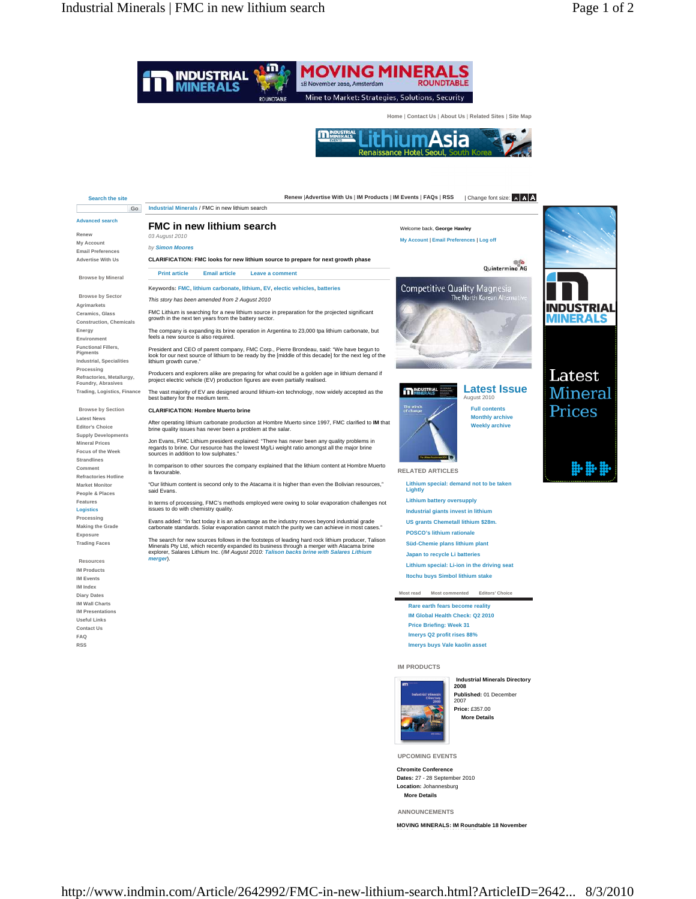

**Chromite Conference Dates:** 27 - 28 September 2010 **Location:** Johannesburg **More Details**

**ANNOUNCEMENTS** 

**MOVING MINERALS: IM Roundtable 18 November**